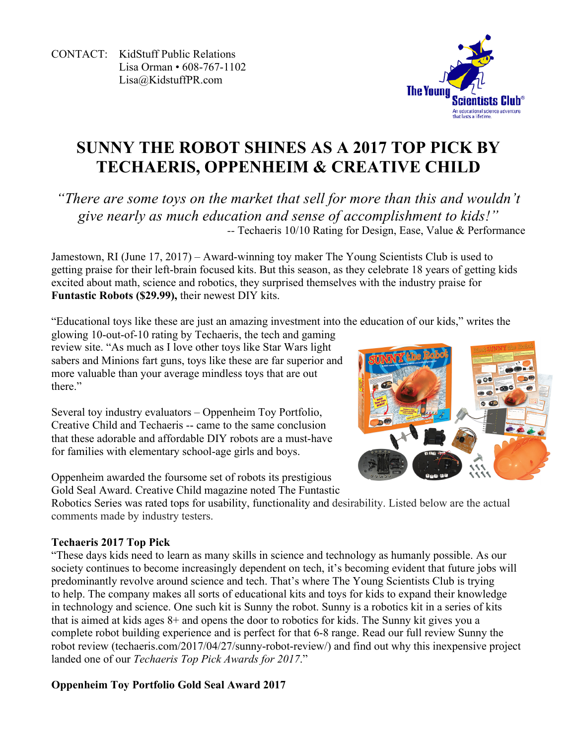CONTACT: KidStuff Public Relations Lisa Orman • 608-767-1102 Lisa@KidstuffPR.com



# **SUNNY THE ROBOT SHINES AS A 2017 TOP PICK BY TECHAERIS, OPPENHEIM & CREATIVE CHILD**

*"There are some toys on the market that sell for more than this and wouldn't give nearly as much education and sense of accomplishment to kids!" --* Techaeris 10/10 Rating for Design, Ease, Value & Performance

Jamestown, RI (June 17, 2017) – Award-winning toy maker The Young Scientists Club is used to getting praise for their left-brain focused kits. But this season, as they celebrate 18 years of getting kids excited about math, science and robotics, they surprised themselves with the industry praise for **Funtastic Robots (\$29.99),** their newest DIY kits.

"Educational toys like these are just an amazing investment into the education of our kids," writes the

glowing 10-out-of-10 rating by Techaeris, the tech and gaming review site. "As much as I love other toys like Star Wars light sabers and Minions fart guns, toys like these are far superior and more valuable than your average mindless toys that are out there"

Several toy industry evaluators – Oppenheim Toy Portfolio, Creative Child and Techaeris -- came to the same conclusion that these adorable and affordable DIY robots are a must-have for families with elementary school-age girls and boys.

Oppenheim awarded the foursome set of robots its prestigious Gold Seal Award. Creative Child magazine noted The Funtastic



Robotics Series was rated tops for usability, functionality and desirability. Listed below are the actual comments made by industry testers.

# **Techaeris 2017 Top Pick**

"These days kids need to learn as many skills in science and technology as humanly possible. As our society continues to become increasingly dependent on tech, it's becoming evident that future jobs will predominantly revolve around science and tech. That's where The Young Scientists Club is trying to help. The company makes all sorts of educational kits and toys for kids to expand their knowledge in technology and science. One such kit is Sunny the robot. Sunny is a robotics kit in a series of kits that is aimed at kids ages 8+ and opens the door to robotics for kids. The Sunny kit gives you a complete robot building experience and is perfect for that 6-8 range. Read our full review Sunny the robot review (techaeris.com/2017/04/27/sunny-robot-review/) and find out why this inexpensive project landed one of our *Techaeris Top Pick Awards for 2017*."

# **Oppenheim Toy Portfolio Gold Seal Award 2017**